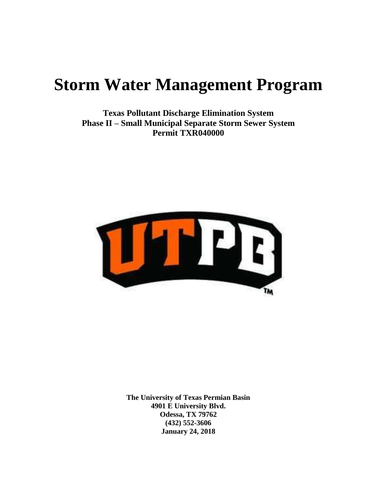# **Storm Water Management Program**

**Texas Pollutant Discharge Elimination System Phase II – Small Municipal Separate Storm Sewer System Permit TXR040000**



**The University of Texas Permian Basin 4901 E University Blvd. Odessa, TX 79762 (432) 552-3606 January 24, 2018**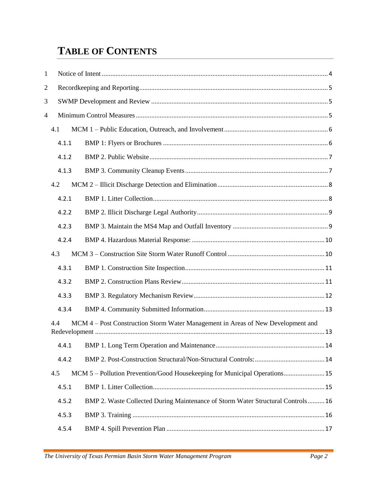# **TABLE OF CONTENTS**

| $\mathbf{1}$                                                                            |       |                                                                                 |  |
|-----------------------------------------------------------------------------------------|-------|---------------------------------------------------------------------------------|--|
| $\overline{c}$                                                                          |       |                                                                                 |  |
| 3                                                                                       |       |                                                                                 |  |
| 4                                                                                       |       |                                                                                 |  |
|                                                                                         | 4.1   |                                                                                 |  |
|                                                                                         | 4.1.1 |                                                                                 |  |
|                                                                                         | 4.1.2 |                                                                                 |  |
|                                                                                         | 4.1.3 |                                                                                 |  |
|                                                                                         | 4.2   |                                                                                 |  |
|                                                                                         | 4.2.1 |                                                                                 |  |
|                                                                                         | 4.2.2 |                                                                                 |  |
|                                                                                         | 4.2.3 |                                                                                 |  |
|                                                                                         | 4.2.4 |                                                                                 |  |
|                                                                                         | 4.3   |                                                                                 |  |
|                                                                                         | 4.3.1 |                                                                                 |  |
|                                                                                         | 4.3.2 |                                                                                 |  |
|                                                                                         | 4.3.3 |                                                                                 |  |
|                                                                                         | 4.3.4 |                                                                                 |  |
| MCM 4 – Post Construction Storm Water Management in Areas of New Development and<br>4.4 |       |                                                                                 |  |
|                                                                                         | 4.4.1 |                                                                                 |  |
|                                                                                         | 4.4.2 |                                                                                 |  |
|                                                                                         | 4.5   | MCM 5 – Pollution Prevention/Good Housekeeping for Municipal Operations 15      |  |
|                                                                                         | 4.5.1 |                                                                                 |  |
|                                                                                         | 4.5.2 | BMP 2. Waste Collected During Maintenance of Storm Water Structural Controls 16 |  |
|                                                                                         | 4.5.3 |                                                                                 |  |
|                                                                                         | 4.5.4 |                                                                                 |  |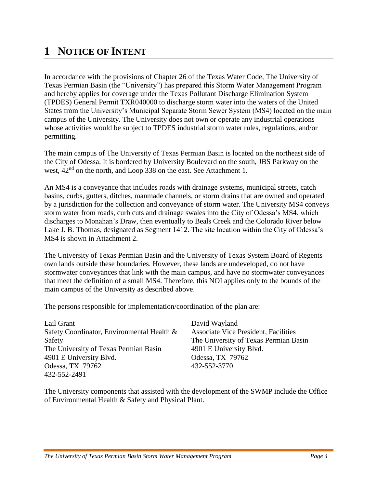# <span id="page-3-0"></span>**1 NOTICE OF INTENT**

In accordance with the provisions of Chapter 26 of the Texas Water Code, The University of Texas Permian Basin (the "University") has prepared this Storm Water Management Program and hereby applies for coverage under the Texas Pollutant Discharge Elimination System (TPDES) General Permit TXR040000 to discharge storm water into the waters of the United States from the University's Municipal Separate Storm Sewer System (MS4) located on the main campus of the University. The University does not own or operate any industrial operations whose activities would be subject to TPDES industrial storm water rules, regulations, and/or permitting.

The main campus of The University of Texas Permian Basin is located on the northeast side of the City of Odessa. It is bordered by University Boulevard on the south, JBS Parkway on the west,  $42<sup>nd</sup>$  on the north, and Loop 338 on the east. See Attachment 1.

An MS4 is a conveyance that includes roads with drainage systems, municipal streets, catch basins, curbs, gutters, ditches, manmade channels, or storm drains that are owned and operated by a jurisdiction for the collection and conveyance of storm water. The University MS4 conveys storm water from roads, curb cuts and drainage swales into the City of Odessa's MS4, which discharges to Monahan's Draw, then eventually to Beals Creek and the Colorado River below Lake J. B. Thomas, designated as Segment 1412. The site location within the City of Odessa's MS4 is shown in Attachment 2.

The University of Texas Permian Basin and the University of Texas System Board of Regents own lands outside these boundaries. However, these lands are undeveloped, do not have stormwater conveyances that link with the main campus, and have no stormwater conveyances that meet the definition of a small MS4. Therefore, this NOI applies only to the bounds of the main campus of the University as described above.

The persons responsible for implementation/coordination of the plan are:

| Lail Grant                                 | David Wayland                               |
|--------------------------------------------|---------------------------------------------|
| Safety Coordinator, Environmental Health & | <b>Associate Vice President, Facilities</b> |
| Safety                                     | The University of Texas Permian Basin       |
| The University of Texas Permian Basin      | 4901 E University Blvd.                     |
| 4901 E University Blvd.                    | Odessa, TX 79762                            |
| Odessa, TX 79762                           | 432-552-3770                                |
| 432-552-2491                               |                                             |

The University components that assisted with the development of the SWMP include the Office of Environmental Health & Safety and Physical Plant.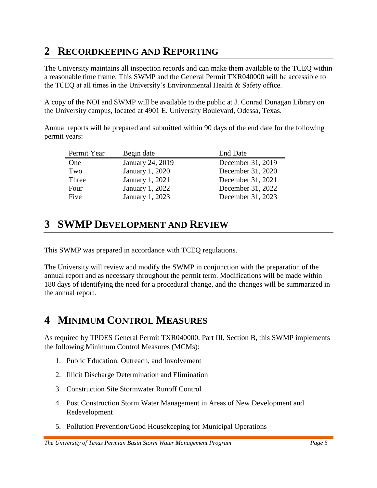# <span id="page-4-0"></span>**2 RECORDKEEPING AND REPORTING**

The University maintains all inspection records and can make them available to the TCEQ within a reasonable time frame. This SWMP and the General Permit TXR040000 will be accessible to the TCEQ at all times in the University's Environmental Health & Safety office.

A copy of the NOI and SWMP will be available to the public at J. Conrad Dunagan Library on the University campus, located at 4901 E. University Boulevard, Odessa, Texas.

Annual reports will be prepared and submitted within 90 days of the end date for the following permit years:

| Permit Year | Begin date       | <b>End Date</b>   |
|-------------|------------------|-------------------|
| One         | January 24, 2019 | December 31, 2019 |
| Two         | January 1, 2020  | December 31, 2020 |
| Three       | January 1, 2021  | December 31, 2021 |
| Four        | January 1, 2022  | December 31, 2022 |
| Five        | January 1, 2023  | December 31, 2023 |

# <span id="page-4-1"></span>**3 SWMP DEVELOPMENT AND REVIEW**

This SWMP was prepared in accordance with TCEQ regulations.

The University will review and modify the SWMP in conjunction with the preparation of the annual report and as necessary throughout the permit term. Modifications will be made within 180 days of identifying the need for a procedural change, and the changes will be summarized in the annual report.

# <span id="page-4-2"></span>**4 MINIMUM CONTROL MEASURES**

As required by TPDES General Permit TXR040000, Part III, Section B, this SWMP implements the following Minimum Control Measures (MCMs):

- 1. Public Education, Outreach, and Involvement
- 2. Illicit Discharge Determination and Elimination
- 3. Construction Site Stormwater Runoff Control
- 4. Post Construction Storm Water Management in Areas of New Development and Redevelopment
- 5. Pollution Prevention/Good Housekeeping for Municipal Operations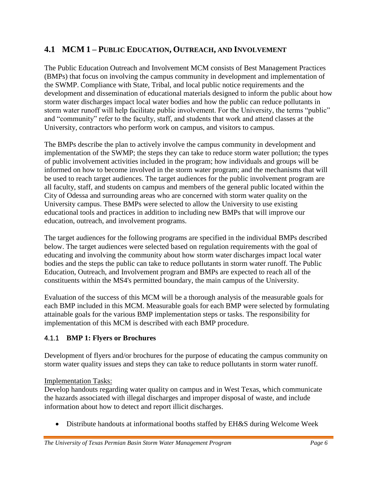# <span id="page-5-0"></span>**4.1 MCM 1 – PUBLIC EDUCATION, OUTREACH, AND INVOLVEMENT**

The Public Education Outreach and Involvement MCM consists of Best Management Practices (BMPs) that focus on involving the campus community in development and implementation of the SWMP. Compliance with State, Tribal, and local public notice requirements and the development and dissemination of educational materials designed to inform the public about how storm water discharges impact local water bodies and how the public can reduce pollutants in storm water runoff will help facilitate public involvement. For the University, the terms "public" and "community" refer to the faculty, staff, and students that work and attend classes at the University, contractors who perform work on campus, and visitors to campus.

The BMPs describe the plan to actively involve the campus community in development and implementation of the SWMP; the steps they can take to reduce storm water pollution; the types of public involvement activities included in the program; how individuals and groups will be informed on how to become involved in the storm water program; and the mechanisms that will be used to reach target audiences. The target audiences for the public involvement program are all faculty, staff, and students on campus and members of the general public located within the City of Odessa and surrounding areas who are concerned with storm water quality on the University campus. These BMPs were selected to allow the University to use existing educational tools and practices in addition to including new BMPs that will improve our education, outreach, and involvement programs.

The target audiences for the following programs are specified in the individual BMPs described below. The target audiences were selected based on regulation requirements with the goal of educating and involving the community about how storm water discharges impact local water bodies and the steps the public can take to reduce pollutants in storm water runoff. The Public Education, Outreach, and Involvement program and BMPs are expected to reach all of the constituents within the MS4's permitted boundary, the main campus of the University.

Evaluation of the success of this MCM will be a thorough analysis of the measurable goals for each BMP included in this MCM. Measurable goals for each BMP were selected by formulating attainable goals for the various BMP implementation steps or tasks. The responsibility for implementation of this MCM is described with each BMP procedure.

### <span id="page-5-1"></span>4.1.1 **BMP 1: Flyers or Brochures**

Development of flyers and/or brochures for the purpose of educating the campus community on storm water quality issues and steps they can take to reduce pollutants in storm water runoff.

#### Implementation Tasks:

Develop handouts regarding water quality on campus and in West Texas, which communicate the hazards associated with illegal discharges and improper disposal of waste, and include information about how to detect and report illicit discharges.

Distribute handouts at informational booths staffed by EH&S during Welcome Week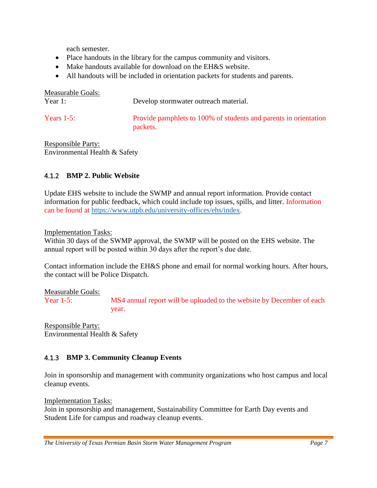each semester.

- Place handouts in the library for the campus community and visitors.
- Make handouts available for download on the EH&S website.
- All handouts will be included in orientation packets for students and parents.

| Measurable Goals:<br>Year $1$ : | Develop stormwater outreach material.                                        |
|---------------------------------|------------------------------------------------------------------------------|
|                                 |                                                                              |
| Years $1-5$ :                   | Provide pamphlets to 100% of students and parents in orientation<br>packets. |

Responsible Party: Environmental Health & Safety

### <span id="page-6-0"></span>4.1.2 **BMP 2. Public Website**

Update EHS website to include the SWMP and annual report information. Provide contact information for public feedback, which could include top issues, spills, and litter. Information can be found at [https://www.utpb.edu/university-offices/ehs/index.](https://www.utpb.edu/university-offices/ehs/index)

Implementation Tasks:

Within 30 days of the SWMP approval, the SWMP will be posted on the EHS website. The annual report will be posted within 30 days after the report's due date.

Contact information include the EH&S phone and email for normal working hours. After hours, the contact will be Police Dispatch.

Measurable Goals:

Year 1-5: MS4 annual report will be uploaded to the website by December of each year.

Responsible Party: Environmental Health & Safety

### <span id="page-6-1"></span>4.1.3 **BMP 3. Community Cleanup Events**

Join in sponsorship and management with community organizations who host campus and local cleanup events.

Implementation Tasks:

Join in sponsorship and management, Sustainability Committee for Earth Day events and Student Life for campus and roadway cleanup events.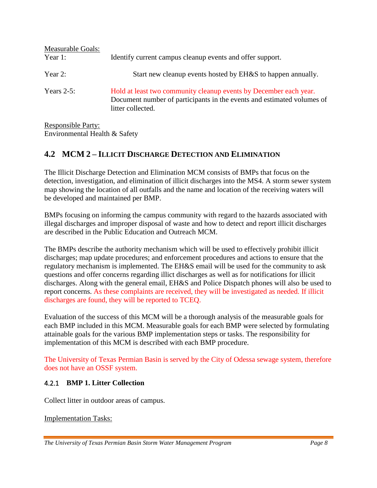| Measurable Goals:<br>Year 1: | Identify current campus cleanup events and offer support.                                                                                                        |
|------------------------------|------------------------------------------------------------------------------------------------------------------------------------------------------------------|
| Year 2:                      | Start new cleanup events hosted by EH&S to happen annually.                                                                                                      |
| Years $2-5$ :                | Hold at least two community cleanup events by December each year.<br>Document number of participants in the events and estimated volumes of<br>litter collected. |

Responsible Party: Environmental Health & Safety

# <span id="page-7-0"></span>**4.2 MCM 2 – ILLICIT DISCHARGE DETECTION AND ELIMINATION**

The Illicit Discharge Detection and Elimination MCM consists of BMPs that focus on the detection, investigation, and elimination of illicit discharges into the MS4. A storm sewer system map showing the location of all outfalls and the name and location of the receiving waters will be developed and maintained per BMP.

BMPs focusing on informing the campus community with regard to the hazards associated with illegal discharges and improper disposal of waste and how to detect and report illicit discharges are described in the Public Education and Outreach MCM.

The BMPs describe the authority mechanism which will be used to effectively prohibit illicit discharges; map update procedures; and enforcement procedures and actions to ensure that the regulatory mechanism is implemented. The EH&S email will be used for the community to ask questions and offer concerns regarding illict discharges as well as for notifications for illicit discharges. Along with the general email, EH&S and Police Dispatch phones will also be used to report concerns. As these complaints are received, they will be investigated as needed. If illicit discharges are found, they will be reported to TCEQ.

Evaluation of the success of this MCM will be a thorough analysis of the measurable goals for each BMP included in this MCM. Measurable goals for each BMP were selected by formulating attainable goals for the various BMP implementation steps or tasks. The responsibility for implementation of this MCM is described with each BMP procedure.

The University of Texas Permian Basin is served by the City of Odessa sewage system, therefore does not have an OSSF system.

#### <span id="page-7-1"></span>4.2.1 **BMP 1. Litter Collection**

Collect litter in outdoor areas of campus.

Implementation Tasks: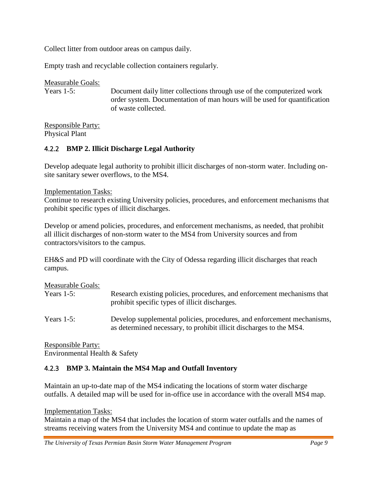Collect litter from outdoor areas on campus daily.

Empty trash and recyclable collection containers regularly.

Measurable Goals: Years 1-5: Document daily litter collections through use of the computerized work order system. Documentation of man hours will be used for quantification of waste collected.

Responsible Party: Physical Plant

#### <span id="page-8-0"></span>4.2.2 **BMP 2. Illicit Discharge Legal Authority**

Develop adequate legal authority to prohibit illicit discharges of non-storm water. Including onsite sanitary sewer overflows, to the MS4.

#### Implementation Tasks:

Continue to research existing University policies, procedures, and enforcement mechanisms that prohibit specific types of illicit discharges.

Develop or amend policies, procedures, and enforcement mechanisms, as needed, that prohibit all illicit discharges of non-storm water to the MS4 from University sources and from contractors/visitors to the campus.

EH&S and PD will coordinate with the City of Odessa regarding illicit discharges that reach campus.

| Measurable Goals: | Research existing policies, procedures, and enforcement mechanisms that                                                                       |
|-------------------|-----------------------------------------------------------------------------------------------------------------------------------------------|
| Years $1-5$ :     | prohibit specific types of illicit discharges.                                                                                                |
| Years $1-5$ :     | Develop supplemental policies, procedures, and enforcement mechanisms,<br>as determined necessary, to prohibit illicit discharges to the MS4. |

Responsible Party: Environmental Health & Safety

#### <span id="page-8-1"></span>4.2.3 **BMP 3. Maintain the MS4 Map and Outfall Inventory**

Maintain an up-to-date map of the MS4 indicating the locations of storm water discharge outfalls. A detailed map will be used for in-office use in accordance with the overall MS4 map.

#### Implementation Tasks:

Maintain a map of the MS4 that includes the location of storm water outfalls and the names of streams receiving waters from the University MS4 and continue to update the map as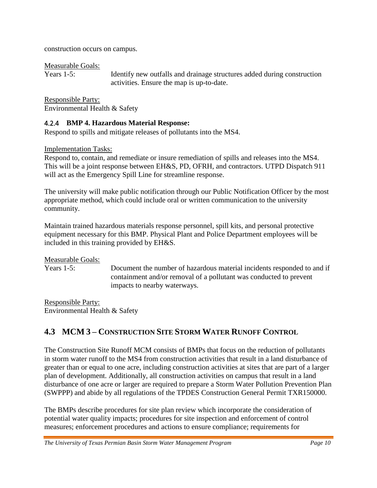construction occurs on campus.

Measurable Goals:

Years 1-5: Identify new outfalls and drainage structures added during construction activities. Ensure the map is up-to-date.

Responsible Party: Environmental Health & Safety

#### <span id="page-9-0"></span>4.2.4 **BMP 4. Hazardous Material Response:**

Respond to spills and mitigate releases of pollutants into the MS4.

Implementation Tasks:

Respond to, contain, and remediate or insure remediation of spills and releases into the MS4. This will be a joint response between EH&S, PD, OFRH, and contractors. UTPD Dispatch 911 will act as the Emergency Spill Line for streamline response.

The university will make public notification through our Public Notification Officer by the most appropriate method, which could include oral or written communication to the university community.

Maintain trained hazardous materials response personnel, spill kits, and personal protective equipment necessary for this BMP. Physical Plant and Police Department employees will be included in this training provided by EH&S.

Measurable Goals:

Years 1-5: Document the number of hazardous material incidents responded to and if containment and/or removal of a pollutant was conducted to prevent impacts to nearby waterways.

Responsible Party: Environmental Health & Safety

# <span id="page-9-1"></span>**4.3 MCM 3 – CONSTRUCTION SITE STORM WATER RUNOFF CONTROL**

The Construction Site Runoff MCM consists of BMPs that focus on the reduction of pollutants in storm water runoff to the MS4 from construction activities that result in a land disturbance of greater than or equal to one acre, including construction activities at sites that are part of a larger plan of development. Additionally, all construction activities on campus that result in a land disturbance of one acre or larger are required to prepare a Storm Water Pollution Prevention Plan (SWPPP) and abide by all regulations of the TPDES Construction General Permit TXR150000.

The BMPs describe procedures for site plan review which incorporate the consideration of potential water quality impacts; procedures for site inspection and enforcement of control measures; enforcement procedures and actions to ensure compliance; requirements for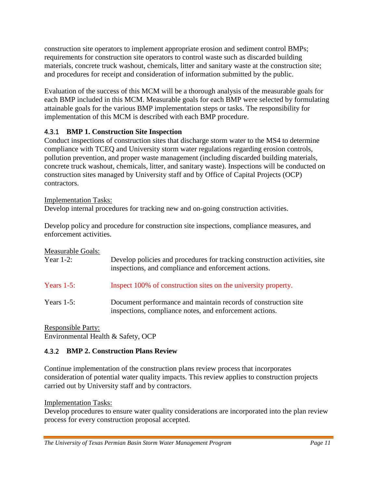construction site operators to implement appropriate erosion and sediment control BMPs; requirements for construction site operators to control waste such as discarded building materials, concrete truck washout, chemicals, litter and sanitary waste at the construction site; and procedures for receipt and consideration of information submitted by the public.

Evaluation of the success of this MCM will be a thorough analysis of the measurable goals for each BMP included in this MCM. Measurable goals for each BMP were selected by formulating attainable goals for the various BMP implementation steps or tasks. The responsibility for implementation of this MCM is described with each BMP procedure.

# <span id="page-10-0"></span>4.3.1 **BMP 1. Construction Site Inspection**

Conduct inspections of construction sites that discharge storm water to the MS4 to determine compliance with TCEQ and University storm water regulations regarding erosion controls, pollution prevention, and proper waste management (including discarded building materials, concrete truck washout, chemicals, litter, and sanitary waste). Inspections will be conducted on construction sites managed by University staff and by Office of Capital Projects (OCP) contractors.

### Implementation Tasks:

Develop internal procedures for tracking new and on-going construction activities.

Develop policy and procedure for construction site inspections, compliance measures, and enforcement activities.

Measurable Goals:

| Year $1-2$ :  | Develop policies and procedures for tracking construction activities, site<br>inspections, and compliance and enforcement actions. |
|---------------|------------------------------------------------------------------------------------------------------------------------------------|
| Years $1-5$ : | Inspect 100% of construction sites on the university property.                                                                     |
| Years $1-5$ : | Document performance and maintain records of construction site<br>inspections, compliance notes, and enforcement actions.          |

Responsible Party: Environmental Health & Safety, OCP

# <span id="page-10-1"></span>4.3.2 **BMP 2. Construction Plans Review**

Continue implementation of the construction plans review process that incorporates consideration of potential water quality impacts. This review applies to construction projects carried out by University staff and by contractors.

Implementation Tasks:

Develop procedures to ensure water quality considerations are incorporated into the plan review process for every construction proposal accepted.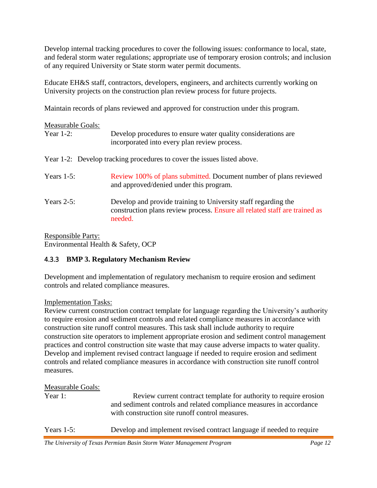Develop internal tracking procedures to cover the following issues: conformance to local, state, and federal storm water regulations; appropriate use of temporary erosion controls; and inclusion of any required University or State storm water permit documents.

Educate EH&S staff, contractors, developers, engineers, and architects currently working on University projects on the construction plan review process for future projects.

Maintain records of plans reviewed and approved for construction under this program.

| <b>Measurable Goals:</b> |                                                                                                                                                         |
|--------------------------|---------------------------------------------------------------------------------------------------------------------------------------------------------|
| Year $1-2$ :             | Develop procedures to ensure water quality considerations are<br>incorporated into every plan review process.                                           |
|                          | Year 1-2: Develop tracking procedures to cover the issues listed above.                                                                                 |
| Years $1-5$ :            | Review 100% of plans submitted. Document number of plans reviewed<br>and approved/denied under this program.                                            |
| Years $2-5$ :            | Develop and provide training to University staff regarding the<br>construction plans review process. Ensure all related staff are trained as<br>needed. |

Responsible Party: Environmental Health & Safety, OCP

### <span id="page-11-0"></span>4.3.3 **BMP 3. Regulatory Mechanism Review**

Development and implementation of regulatory mechanism to require erosion and sediment controls and related compliance measures.

Implementation Tasks:

Review current construction contract template for language regarding the University's authority to require erosion and sediment controls and related compliance measures in accordance with construction site runoff control measures. This task shall include authority to require construction site operators to implement appropriate erosion and sediment control management practices and control construction site waste that may cause adverse impacts to water quality. Develop and implement revised contract language if needed to require erosion and sediment controls and related compliance measures in accordance with construction site runoff control measures.

### Measurable Goals:

| Year 1:       | Review current contract template for authority to require erosion    |
|---------------|----------------------------------------------------------------------|
|               | and sediment controls and related compliance measures in accordance  |
|               | with construction site runoff control measures.                      |
| Years $1-5$ : | Develop and implement revised contract language if needed to require |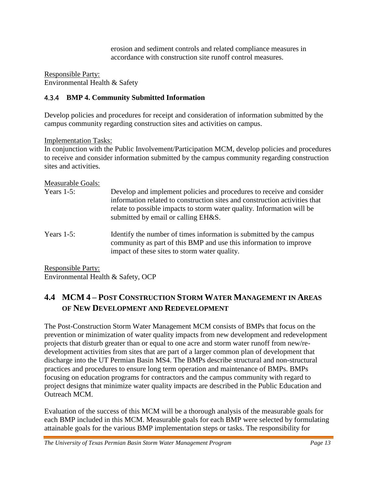erosion and sediment controls and related compliance measures in accordance with construction site runoff control measures.

Responsible Party: Environmental Health & Safety

### <span id="page-12-0"></span>4.3.4 **BMP 4. Community Submitted Information**

Develop policies and procedures for receipt and consideration of information submitted by the campus community regarding construction sites and activities on campus.

#### Implementation Tasks:

In conjunction with the Public Involvement/Participation MCM, develop policies and procedures to receive and consider information submitted by the campus community regarding construction sites and activities.

#### Measurable Goals:

| Years $1-5$ : | Develop and implement policies and procedures to receive and consider<br>information related to construction sites and construction activities that<br>relate to possible impacts to storm water quality. Information will be<br>submitted by email or calling EH&S. |
|---------------|----------------------------------------------------------------------------------------------------------------------------------------------------------------------------------------------------------------------------------------------------------------------|
| Years $1-5$ : | Identify the number of times information is submitted by the campus<br>community as part of this BMP and use this information to improve<br>impact of these sites to storm water quality.                                                                            |

Responsible Party: Environmental Health & Safety, OCP

# <span id="page-12-1"></span>**4.4 MCM 4 – POST CONSTRUCTION STORM WATER MANAGEMENT IN AREAS OF NEW DEVELOPMENT AND REDEVELOPMENT**

The Post-Construction Storm Water Management MCM consists of BMPs that focus on the prevention or minimization of water quality impacts from new development and redevelopment projects that disturb greater than or equal to one acre and storm water runoff from new/redevelopment activities from sites that are part of a larger common plan of development that discharge into the UT Permian Basin MS4. The BMPs describe structural and non-structural practices and procedures to ensure long term operation and maintenance of BMPs. BMPs focusing on education programs for contractors and the campus community with regard to project designs that minimize water quality impacts are described in the Public Education and Outreach MCM.

Evaluation of the success of this MCM will be a thorough analysis of the measurable goals for each BMP included in this MCM. Measurable goals for each BMP were selected by formulating attainable goals for the various BMP implementation steps or tasks. The responsibility for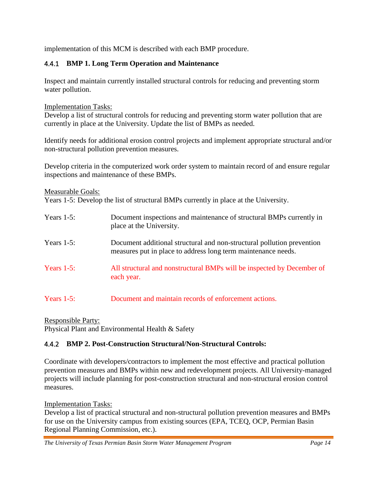implementation of this MCM is described with each BMP procedure.

### <span id="page-13-0"></span>4.4.1 **BMP 1. Long Term Operation and Maintenance**

Inspect and maintain currently installed structural controls for reducing and preventing storm water pollution.

Implementation Tasks:

Develop a list of structural controls for reducing and preventing storm water pollution that are currently in place at the University. Update the list of BMPs as needed.

Identify needs for additional erosion control projects and implement appropriate structural and/or non-structural pollution prevention measures.

Develop criteria in the computerized work order system to maintain record of and ensure regular inspections and maintenance of these BMPs.

Measurable Goals:

Years 1-5: Develop the list of structural BMPs currently in place at the University.

| Years $1-5$ : | Document inspections and maintenance of structural BMPs currently in<br>place at the University.                                        |
|---------------|-----------------------------------------------------------------------------------------------------------------------------------------|
| Years $1-5$ : | Document additional structural and non-structural pollution prevention<br>measures put in place to address long term maintenance needs. |
| Years $1-5$ : | All structural and nonstructural BMPs will be inspected by December of<br>each year.                                                    |
| Years $1-5$ : | Document and maintain records of enforcement actions.                                                                                   |

Responsible Party:

Physical Plant and Environmental Health & Safety

### <span id="page-13-1"></span>4.4.2 **BMP 2. Post-Construction Structural/Non-Structural Controls:**

Coordinate with developers/contractors to implement the most effective and practical pollution prevention measures and BMPs within new and redevelopment projects. All University-managed projects will include planning for post-construction structural and non-structural erosion control measures.

Implementation Tasks:

Develop a list of practical structural and non-structural pollution prevention measures and BMPs for use on the University campus from existing sources (EPA, TCEQ, OCP, Permian Basin Regional Planning Commission, etc.).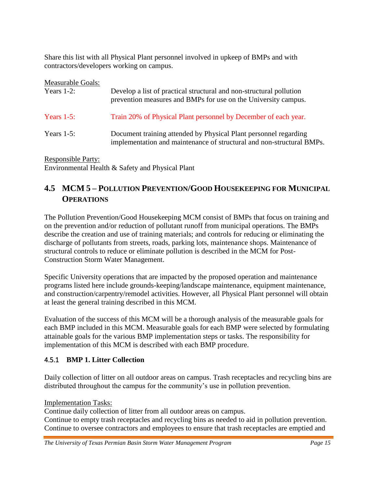Share this list with all Physical Plant personnel involved in upkeep of BMPs and with contractors/developers working on campus.

| Measurable Goals: |                                                                                                                                           |
|-------------------|-------------------------------------------------------------------------------------------------------------------------------------------|
| Years $1-2$ :     | Develop a list of practical structural and non-structural pollution<br>prevention measures and BMPs for use on the University campus.     |
| Years $1-5$ :     | Train 20% of Physical Plant personnel by December of each year.                                                                           |
| Years $1-5$ :     | Document training attended by Physical Plant personnel regarding<br>implementation and maintenance of structural and non-structural BMPs. |

Responsible Party: Environmental Health & Safety and Physical Plant

# <span id="page-14-0"></span>**4.5 MCM 5 – POLLUTION PREVENTION/GOOD HOUSEKEEPING FOR MUNICIPAL OPERATIONS**

The Pollution Prevention/Good Housekeeping MCM consist of BMPs that focus on training and on the prevention and/or reduction of pollutant runoff from municipal operations. The BMPs describe the creation and use of training materials; and controls for reducing or eliminating the discharge of pollutants from streets, roads, parking lots, maintenance shops. Maintenance of structural controls to reduce or eliminate pollution is described in the MCM for Post-Construction Storm Water Management.

Specific University operations that are impacted by the proposed operation and maintenance programs listed here include grounds-keeping/landscape maintenance, equipment maintenance, and construction/carpentry/remodel activities. However, all Physical Plant personnel will obtain at least the general training described in this MCM.

Evaluation of the success of this MCM will be a thorough analysis of the measurable goals for each BMP included in this MCM. Measurable goals for each BMP were selected by formulating attainable goals for the various BMP implementation steps or tasks. The responsibility for implementation of this MCM is described with each BMP procedure.

# <span id="page-14-1"></span>4.5.1 **BMP 1. Litter Collection**

Daily collection of litter on all outdoor areas on campus. Trash receptacles and recycling bins are distributed throughout the campus for the community's use in pollution prevention.

Implementation Tasks:

Continue daily collection of litter from all outdoor areas on campus.

Continue to empty trash receptacles and recycling bins as needed to aid in pollution prevention. Continue to oversee contractors and employees to ensure that trash receptacles are emptied and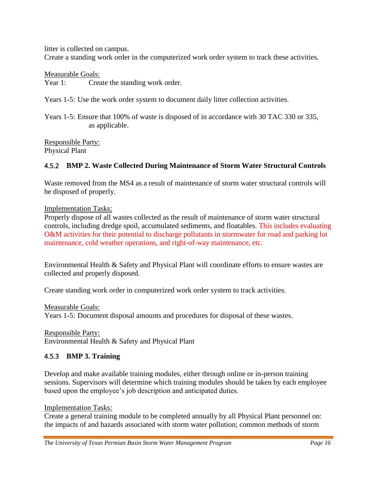litter is collected on campus.

Create a standing work order in the computerized work order system to track these activities.

Measurable Goals:

Year 1: Create the standing work order.

Years 1-5: Use the work order system to document daily litter collection activities.

Years 1-5: Ensure that 100% of waste is disposed of in accordance with 30 TAC 330 or 335, as applicable.

Responsible Party: Physical Plant

#### <span id="page-15-0"></span>4.5.2 **BMP 2. Waste Collected During Maintenance of Storm Water Structural Controls**

Waste removed from the MS4 as a result of maintenance of storm water structural controls will be disposed of properly.

Implementation Tasks:

Properly dispose of all wastes collected as the result of maintenance of storm water structural controls, including dredge spoil, accumulated sediments, and floatables. This includes evaluating O&M activities for their potential to discharge pollutants in stormwater for road and parking lot maintenance, cold weather operations, and right-of-way maintenance, etc.

Environmental Health & Safety and Physical Plant will coordinate efforts to ensure wastes are collected and properly disposed.

Create standing work order in computerized work order system to track activities.

Measurable Goals:

Years 1-5: Document disposal amounts and procedures for disposal of these wastes.

Responsible Party: Environmental Health & Safety and Physical Plant

#### <span id="page-15-1"></span>4.5.3 **BMP 3. Training**

Develop and make available training modules, either through online or in-person training sessions. Supervisors will determine which training modules should be taken by each employee based upon the employee's job description and anticipated duties.

Implementation Tasks:

Create a general training module to be completed annually by all Physical Plant personnel on: the impacts of and hazards associated with storm water pollution; common methods of storm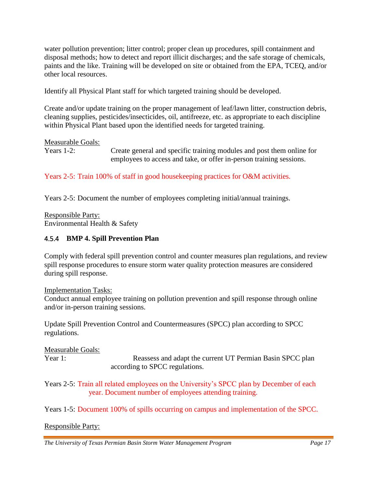water pollution prevention; litter control; proper clean up procedures, spill containment and disposal methods; how to detect and report illicit discharges; and the safe storage of chemicals, paints and the like. Training will be developed on site or obtained from the EPA, TCEQ, and/or other local resources.

Identify all Physical Plant staff for which targeted training should be developed.

Create and/or update training on the proper management of leaf/lawn litter, construction debris, cleaning supplies, pesticides/insecticides, oil, antifreeze, etc. as appropriate to each discipline within Physical Plant based upon the identified needs for targeted training.

#### Measurable Goals:

Years 1-2: Create general and specific training modules and post them online for employees to access and take, or offer in-person training sessions.

Years 2-5: Train 100% of staff in good housekeeping practices for O&M activities.

Years 2-5: Document the number of employees completing initial/annual trainings.

Responsible Party: Environmental Health & Safety

#### <span id="page-16-0"></span>4.5.4 **BMP 4. Spill Prevention Plan**

Comply with federal spill prevention control and counter measures plan regulations, and review spill response procedures to ensure storm water quality protection measures are considered during spill response.

Implementation Tasks:

Conduct annual employee training on pollution prevention and spill response through online and/or in-person training sessions.

Update Spill Prevention Control and Countermeasures (SPCC) plan according to SPCC regulations.

Measurable Goals: Year 1: Reassess and adapt the current UT Permian Basin SPCC plan according to SPCC regulations.

Years 2-5: Train all related employees on the University's SPCC plan by December of each year. Document number of employees attending training.

Years 1-5: Document 100% of spills occurring on campus and implementation of the SPCC.

#### Responsible Party: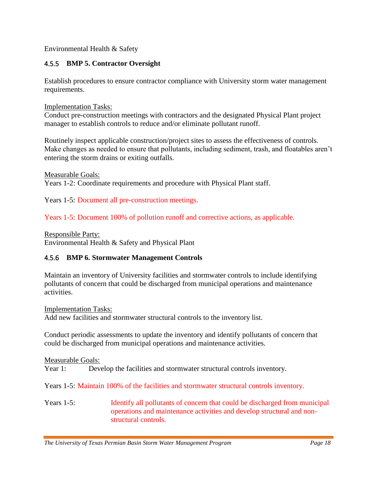Environmental Health & Safety

#### <span id="page-17-0"></span>4.5.5 **BMP 5. Contractor Oversight**

Establish procedures to ensure contractor compliance with University storm water management requirements.

Implementation Tasks:

Conduct pre-construction meetings with contractors and the designated Physical Plant project manager to establish controls to reduce and/or eliminate pollutant runoff.

Routinely inspect applicable construction/project sites to assess the effectiveness of controls. Make changes as needed to ensure that pollutants, including sediment, trash, and floatables aren't entering the storm drains or exiting outfalls.

Measurable Goals:

Years 1-2: Coordinate requirements and procedure with Physical Plant staff.

Years 1-5: Document all pre-construction meetings.

Years 1-5: Document 100% of pollution runoff and corrective actions, as applicable.

Responsible Party: Environmental Health & Safety and Physical Plant

### <span id="page-17-1"></span>4.5.6 **BMP 6. Stormwater Management Controls**

Maintain an inventory of University facilities and stormwater controls to include identifying pollutants of concern that could be discharged from municipal operations and maintenance activities.

Implementation Tasks: Add new facilities and stormwater structural controls to the inventory list.

Conduct periodic assessments to update the inventory and identify pollutants of concern that could be discharged from municipal operations and maintenance activities.

Measurable Goals:

Year 1: Develop the facilities and stormwater structural controls inventory.

Years 1-5: Maintain 100% of the facilities and stormwater structural controls inventory.

Years 1-5: Identify all pollutants of concern that could be discharged from municipal operations and maintenance activities and develop structural and nonstructural controls.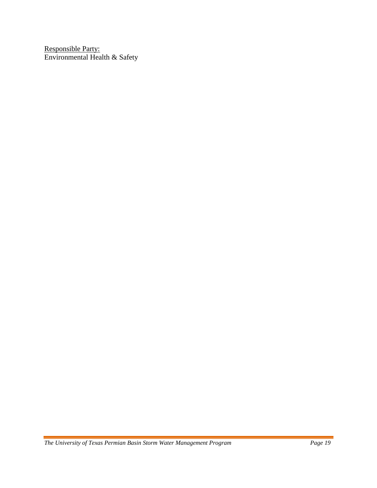Responsible Party: Environmental Health & Safety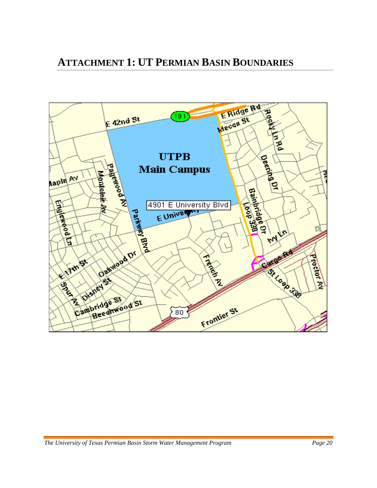<span id="page-19-0"></span>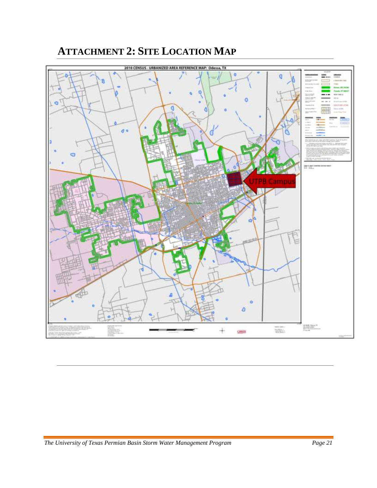# **ATTACHMENT 2: SITE LOCATION MAP**

<span id="page-20-0"></span>